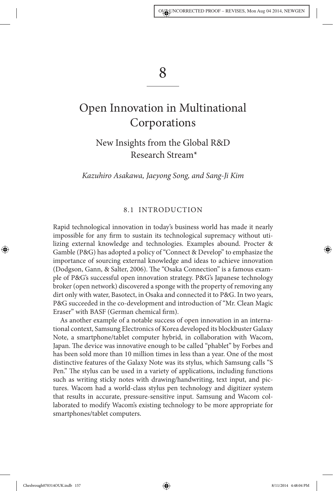## 8

# Open Innovation in Multinational **Corporations**

New Insights from the Global R&D Research Stream\*

Kazuhiro Asakawa, Jaeyong Song, and Sang-Ji Kim

## 8.1 INTRODUCTION

Rapid technological innovation in today's business world has made it nearly impossible for any firm to sustain its technological supremacy without utilizing external knowledge and technologies. Examples abound. Procter & Gamble (P&G) has adopted a policy of "Connect & Develop" to emphasize the importance of sourcing external knowledge and ideas to achieve innovation (Dodgson, Gann, & Salter, 2006). The "Osaka Connection" is a famous example of P&G's successful open innovation strategy. P&G's Japanese technology broker (open network) discovered a sponge with the property of removing any dirt only with water, Basotect, in Osaka and connected it to P&G. In two years, P&G succeeded in the co-development and introduction of "Mr. Clean Magic Eraser" with BASF (German chemical firm).

As another example of a notable success of open innovation in an international context, Samsung Electronics of Korea developed its blockbuster Galaxy Note, a smartphone/tablet computer hybrid, in collaboration with Wacom, Japan. The device was innovative enough to be called "phablet" by Forbes and has been sold more than 10 million times in less than a year. One of the most distinctive features of the Galaxy Note was its stylus, which Samsung calls "S Pen." The stylus can be used in a variety of applications, including functions such as writing sticky notes with drawing/handwriting, text input, and pictures. Wacom had a world-class stylus pen technology and digitizer system that results in accurate, pressure-sensitive input. Samsung and Wacom collaborated to modify Wacom's existing technology to be more appropriate for smartphones/tablet computers.

Chesbrough070314OUK.indb 157 8/11/2014 4:48:04 PM

◈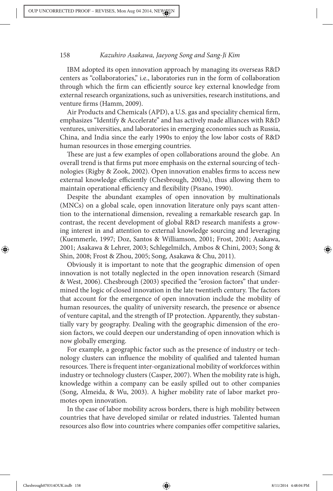IBM adopted its open innovation approach by managing its overseas R&D centers as "collaboratories," i.e., laboratories run in the form of collaboration through which the firm can efficiently source key external knowledge from external research organizations, such as universities, research institutions, and venture firms (Hamm, 2009).

Air Products and Chemicals (APD), a U.S. gas and speciality chemical firm, emphasizes "Identify & Accelerate" and has actively made alliances with R&D ventures, universities, and laboratories in emerging economies such as Russia, China, and India since the early 1990s to enjoy the low labor costs of R&D human resources in those emerging countries.

These are just a few examples of open collaborations around the globe. An overall trend is that firms put more emphasis on the external sourcing of technologies (Rigby & Zook, 2002). Open innovation enables firms to access new external knowledge efficiently (Chesbrough, 2003a), thus allowing them to maintain operational efficiency and flexibility (Pisano, 1990).

Despite the abundant examples of open innovation by multinationals (MNCs) on a global scale, open innovation literature only pays scant attention to the international dimension, revealing a remarkable research gap. In contrast, the recent development of global R&D research manifests a growing interest in and attention to external knowledge sourcing and leveraging (Kuemmerle, 1997; Doz, Santos & Williamson, 2001; Frost, 2001; Asakawa, 2001; Asakawa & Lehrer, 2003; Schlegelmilch, Ambos & Chini, 2003; Song & Shin, 2008; Frost & Zhou, 2005; Song, Asakawa & Chu, 2011).

Obviously it is important to note that the geographic dimension of open innovation is not totally neglected in the open innovation research (Simard & West, 2006). Chesbrough (2003) specified the "erosion factors" that undermined the logic of closed innovation in the late twentieth century. The factors that account for the emergence of open innovation include the mobility of human resources, the quality of university research, the presence or absence of venture capital, and the strength of IP protection. Apparently, they substantially vary by geography. Dealing with the geographic dimension of the erosion factors, we could deepen our understanding of open innovation which is now globally emerging.

For example, a geographic factor such as the presence of industry or technology clusters can influence the mobility of qualified and talented human resources. There is frequent inter-organizational mobility of workforces within industry or technology clusters (Casper, 2007). When the mobility rate is high, knowledge within a company can be easily spilled out to other companies (Song, Almeida, & Wu, 2003). A higher mobility rate of labor market promotes open innovation.

In the case of labor mobility across borders, there is high mobility between countries that have developed similar or related industries. Talented human resources also flow into countries where companies offer competitive salaries,

Chesbrough070314OUK.indb 158 8/11/2014 4:48:04 PM

◈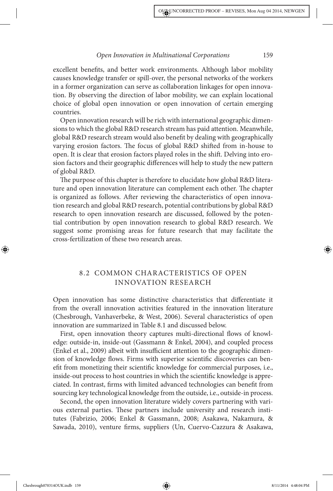excellent benefits, and better work environments. Although labor mobility causes knowledge transfer or spill-over, the personal networks of the workers in a former organization can serve as collaboration linkages for open innovation. By observing the direction of labor mobility, we can explain locational choice of global open innovation or open innovation of certain emerging countries.

Open innovation research will be rich with international geographic dimensions to which the global R&D research stream has paid attention. Meanwhile, global R&D research stream would also benefit by dealing with geographically varying erosion factors. The focus of global R&D shifted from in-house to open. It is clear that erosion factors played roles in the shift. Delving into erosion factors and their geographic differences will help to study the new pattern of global R&D.

The purpose of this chapter is therefore to elucidate how global R&D literature and open innovation literature can complement each other. The chapter is organized as follows. After reviewing the characteristics of open innovation research and global R&D research, potential contributions by global R&D research to open innovation research are discussed, followed by the potential contribution by open innovation research to global R&D research. We suggest some promising areas for future research that may facilitate the cross-fertilization of these two research areas.

## 8.2 COMMON CHARACTERISTICS OF OPEN INNOVATION RESEARCH

Open innovation has some distinctive characteristics that differentiate it from the overall innovation activities featured in the innovation literature (Chesbrough, Vanhaverbeke, & West, 2006). Several characteristics of open innovation are summarized in Table 8.1 and discussed below.

First, open innovation theory captures multi-directional flows of knowledge: outside-in, inside-out (Gassmann & Enkel, 2004), and coupled process (Enkel et al., 2009) albeit with insufficient attention to the geographic dimension of knowledge flows. Firms with superior scientific discoveries can benefit from monetizing their scientific knowledge for commercial purposes, i.e., inside-out process to host countries in which the scientific knowledge is appreciated. In contrast, firms with limited advanced technologies can benefit from sourcing key technological knowledge from the outside, i.e., outside-in process.

Second, the open innovation literature widely covers partnering with various external parties. These partners include university and research institutes (Fabrizio, 2006; Enkel & Gassmann, 2008; Asakawa, Nakamura, & Sawada, 2010), venture firms, suppliers (Un, Cuervo-Cazzura & Asakawa,

Chesbrough070314OUK.indb 159 8/11/2014 4:48:04 PM

◈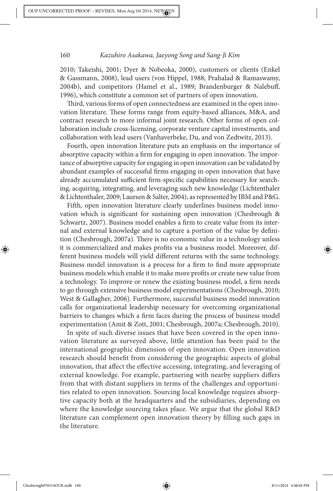2010; Takeishi, 2001; Dyer & Nobeoka, 2000), customers or clients (Enkel & Gassmann, 2008), lead users (von Hippel, 1988; Prahalad & Ramaswamy, 2004b), and competitors (Hamel et al., 1989; Brandenburger & Nalebuff, 1996), which constitute a common set of partners of open innovation.

Third, various forms of open connectedness are examined in the open innovation literature. These forms range from equity-based alliances, M&A, and contract research to more informal joint research. Other forms of open collaboration include cross-licensing, corporate venture capital investments, and collaboration with lead users (Vanhaverbeke, Du, and von Zedtwitz, 2013).

Fourth, open innovation literature puts an emphasis on the importance of absorptive capacity within a firm for engaging in open innovation. The importance of absorptive capacity for engaging in open innovation can be validated by abundant examples of successful firms engaging in open innovation that have already accumulated sufficient firm-specific capabilities necessary for searching, acquiring, integrating, and leveraging such new knowledge (Lichtenthaler & Lichtenthaler, 2009; Laursen & Salter, 2004), as represented by IBM and P&G.

Fifth, open innovation literature clearly underlines business model innovation which is significant for sustaining open innovation (Chesbrough & Schwartz, 2007). Business model enables a firm to create value from its internal and external knowledge and to capture a portion of the value by definition (Chesbrough, 2007a). There is no economic value in a technology unless it is commercialized and makes profits via a business model. Moreover, different business models will yield different returns with the same technology. Business model innovation is a process for a firm to find more appropriate business models which enable it to make more profits or create new value from a technology. To improve or renew the existing business model, a firm needs to go through extensive business model experimentations (Chesbrough, 2010; West & Gallagher, 2006). Furthermore, successful business model innovation calls for organizational leadership necessary for overcoming organizational barriers to changes which a firm faces during the process of business model experimentation (Amit & Zott, 2001; Chesbrough, 2007a; Chesbrough, 2010).

In spite of such diverse issues that have been covered in the open innovation literature as surveyed above, little attention has been paid to the international geographic dimension of open innovation. Open innovation research should benefit from considering the geographic aspects of global innovation, that affect the effective accessing, integrating, and leveraging of external knowledge. For example, partnering with nearby suppliers differs from that with distant suppliers in terms of the challenges and opportunities related to open innovation. Sourcing local knowledge requires absorptive capacity both at the headquarters and the subsidiaries, depending on where the knowledge sourcing takes place. We argue that the global R&D literature can complement open innovation theory by \$lling such gaps in the literature.

Chesbrough070314OUK.indb 160 8/11/2014 4:48:04 PM 8/11/2014 4:48:04 PM 8/11/2014 4:48:04 PM 8/11/2014 4:48:04 PM 8/11/2014 4:48:04 PM 8/11/2014 4:48:04 PM 8/11/2014 4:48:04 PM 8/11/2014 4:48:04 PM 8/11/2014 4:48:04 PM 8/11

◈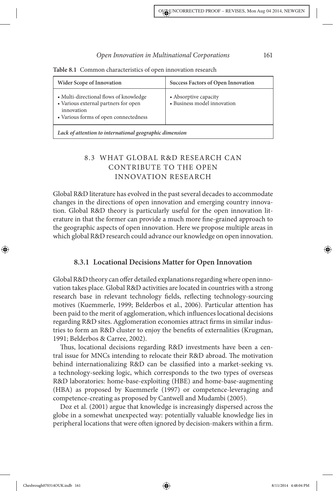| <b>Wider Scope of Innovation</b>                                                                                                      | <b>Success Factors of Open Innovation</b>            |
|---------------------------------------------------------------------------------------------------------------------------------------|------------------------------------------------------|
| • Multi-directional flows of knowledge<br>• Various external partners for open<br>innovation<br>• Various forms of open connectedness | • Absorptive capacity<br>• Business model innovation |
| Lack of attention to international geographic dimension                                                                               |                                                      |

**Table 8.1** Common characteristics of open innovation research

## 8.3 WHAT GLOBAL R&D RESEARCH CAN CONTRIBUTE TO THE OPEN INNOVATION RESEARCH

Global R&D literature has evolved in the past several decades to accommodate changes in the directions of open innovation and emerging country innovation. Global R&D theory is particularly useful for the open innovation literature in that the former can provide a much more fine-grained approach to the geographic aspects of open innovation. Here we propose multiple areas in which global R&D research could advance our knowledge on open innovation.

#### **8.3.1 Locational Decisions Matter for Open Innovation**

Global R&D theory can offer detailed explanations regarding where open innovation takes place. Global R&D activities are located in countries with a strong research base in relevant technology fields, reflecting technology-sourcing motives (Kuemmerle, 1999; Belderbos et al., 2006). Particular attention has been paid to the merit of agglomeration, which influences locational decisions regarding R&D sites. Agglomeration economies attract firms in similar industries to form an R&D cluster to enjoy the benefits of externalities (Krugman, 1991; Belderbos & Carree, 2002).

Thus, locational decisions regarding R&D investments have been a central issue for MNCs intending to relocate their R&D abroad. The motivation behind internationalizing R&D can be classified into a market-seeking vs. a technology-seeking logic, which corresponds to the two types of overseas R&D laboratories: home-base-exploiting (HBE) and home-base-augmenting (HBA) as proposed by Kuemmerle (1997) or competence-leveraging and competence-creating as proposed by Cantwell and Mudambi (2005).

Doz et al. (2001) argue that knowledge is increasingly dispersed across the globe in a somewhat unexpected way: potentially valuable knowledge lies in peripheral locations that were often ignored by decision-makers within a firm.

Chesbrough070314OUK.indb 161 8/11/2014 4:48:04 PM

◈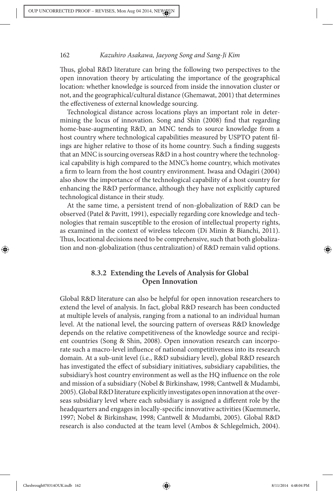Thus, global R&D literature can bring the following two perspectives to the open innovation theory by articulating the importance of the geographical location: whether knowledge is sourced from inside the innovation cluster or not, and the geographical/cultural distance (Ghemawat, 2001) that determines the effectiveness of external knowledge sourcing.

Technological distance across locations plays an important role in determining the locus of innovation. Song and Shin (2008) find that regarding home-base-augmenting R&D, an MNC tends to source knowledge from a host country where technological capabilities measured by USPTO patent filings are higher relative to those of its home country. Such a finding suggests that an MNC is sourcing overseas R&D in a host country where the technological capability is high compared to the MNC's home country, which motivates a firm to learn from the host country environment. Iwasa and Odagiri (2004) also show the importance of the technological capability of a host country for enhancing the R&D performance, although they have not explicitly captured technological distance in their study.

At the same time, a persistent trend of non-globalization of R&D can be observed (Patel & Pavitt, 1991), especially regarding core knowledge and technologies that remain susceptible to the erosion of intellectual property rights, as examined in the context of wireless telecom (Di Minin & Bianchi, 2011). Thus, locational decisions need to be comprehensive, such that both globalization and non-globalization (thus centralization) of R&D remain valid options.

## **8.3.2 Extending the Levels of Analysis for Global Open Innovation**

Global R&D literature can also be helpful for open innovation researchers to extend the level of analysis. In fact, global R&D research has been conducted at multiple levels of analysis, ranging from a national to an individual human level. At the national level, the sourcing pattern of overseas R&D knowledge depends on the relative competitiveness of the knowledge source and recipient countries (Song & Shin, 2008). Open innovation research can incorporate such a macro-level influence of national competitiveness into its research domain. At a sub-unit level (i.e., R&D subsidiary level), global R&D research has investigated the effect of subsidiary initiatives, subsidiary capabilities, the subsidiary's host country environment as well as the HQ influence on the role and mission of a subsidiary (Nobel & Birkinshaw, 1998; Cantwell & Mudambi, 2005). Global R&D literature explicitly investigates open innovation at the overseas subsidiary level where each subsidiary is assigned a different role by the headquarters and engages in locally-specific innovative activities (Kuemmerle, 1997; Nobel & Birkinshaw, 1998; Cantwell & Mudambi, 2005). Global R&D research is also conducted at the team level (Ambos & Schlegelmich, 2004).

◈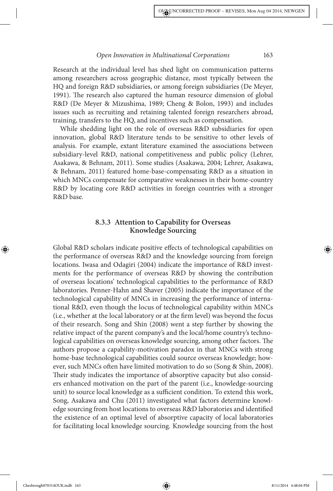Research at the individual level has shed light on communication patterns among researchers across geographic distance, most typically between the HQ and foreign R&D subsidiaries, or among foreign subsidiaries (De Meyer, 1991). The research also captured the human resource dimension of global R&D (De Meyer & Mizushima, 1989; Cheng & Bolon, 1993) and includes issues such as recruiting and retaining talented foreign researchers abroad, training, transfers to the HQ, and incentives such as compensation.

While shedding light on the role of overseas R&D subsidiaries for open innovation, global R&D literature tends to be sensitive to other levels of analysis. For example, extant literature examined the associations between subsidiary-level R&D, national competitiveness and public policy (Lehrer, Asakawa, & Behnam, 2011). Some studies (Asakawa, 2004; Lehrer, Asakawa, & Behnam, 2011) featured home-base-compensating R&D as a situation in which MNCs compensate for comparative weaknesses in their home-country R&D by locating core R&D activities in foreign countries with a stronger R&D base.

## **8.3.3 Attention to Capability for Overseas Knowledge Sourcing**

Global R&D scholars indicate positive effects of technological capabilities on the performance of overseas R&D and the knowledge sourcing from foreign locations. Iwasa and Odagiri (2004) indicate the importance of R&D investments for the performance of overseas R&D by showing the contribution of overseas locations' technological capabilities to the performance of R&D laboratories. Penner-Hahn and Shaver (2005) indicate the importance of the technological capability of MNCs in increasing the performance of international R&D, even though the locus of technological capability within MNCs (i.e., whether at the local laboratory or at the \$rm level) was beyond the focus of their research. Song and Shin (2008) went a step further by showing the relative impact of the parent company's and the local/home country's technological capabilities on overseas knowledge sourcing, among other factors. The authors propose a capability-motivation paradox in that MNCs with strong home-base technological capabilities could source overseas knowledge; however, such MNCs often have limited motivation to do so (Song & Shin, 2008). Their study indicates the importance of absorptive capacity but also considers enhanced motivation on the part of the parent (i.e., knowledge-sourcing unit) to source local knowledge as a sufficient condition. To extend this work, Song, Asakawa and Chu (2011) investigated what factors determine knowledge sourcing from host locations to overseas R&D laboratories and identified the existence of an optimal level of absorptive capacity of local laboratories for facilitating local knowledge sourcing. Knowledge sourcing from the host

◈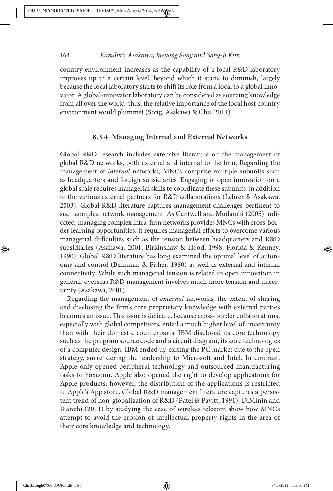country environment increases as the capability of a local R&D laboratory improves up to a certain level, beyond which it starts to diminish, largely because the local laboratory starts to shift its role from a local to a global innovator. A global-innovator laboratory can be considered as sourcing knowledge from all over the world; thus, the relative importance of the local host country environment would plummet (Song, Asakawa & Chu, 2011).

#### **8.3.4 Managing Internal and External Networks**

Global R&D research includes extensive literature on the management of global R&D networks, both external and internal to the firm. Regarding the management of *internal* networks, MNCs comprise multiple subunits such as headquarters and foreign subsidiaries. Engaging in open innovation on a global scale requires managerial skills to coordinate these subunits, in addition to the various external partners for R&D collaborations (Lehrer & Asakawa, 2003). Global R&D literature captures management challenges pertinent to such complex network management. As Cantwell and Mudambi (2005) indicated, managing complex intra-firm networks provides MNCs with cross-border learning opportunities. It requires managerial efforts to overcome various managerial difficulties such as the tension between headquarters and R&D subsidiaries (Asakawa, 2001; Birkinshaw & Hood, 1998; Florida & Kenney, 1990). Global R&D literature has long examined the optimal level of autonomy and control (Behrman & Fisher, 1980) as well as external and internal connectivity. While such managerial tension is related to open innovation in general, overseas R&D management involves much more tension and uncertainty (Asakawa, 2001).

Regarding the management of external networks, the extent of sharing and disclosing the firm's core proprietary knowledge with external parties becomes an issue. This issue is delicate, because cross-border collaborations, especially with global competitors, entail a much higher level of uncertainty than with their domestic counterparts. IBM disclosed its core technology such as the program source code and a circuit diagram, its core technologies of a computer design. IBM ended up exiting the PC market due to the open strategy, surrendering the leadership to Microsoft and Intel. In contrast, Apple only opened peripheral technology and outsourced manufacturing tasks to Foxconn. Apple also opened the right to develop applications for Apple products; however, the distribution of the applications is restricted to Apple's App store. Global R&D management literature captures a persistent trend of non-globalization of R&D (Patel & Pavitt, 1991). DiMinin and Bianchi (2011) by studying the case of wireless telecom show how MNCs attempt to avoid the erosion of intellectual property rights in the area of their core knowledge and technology.

◈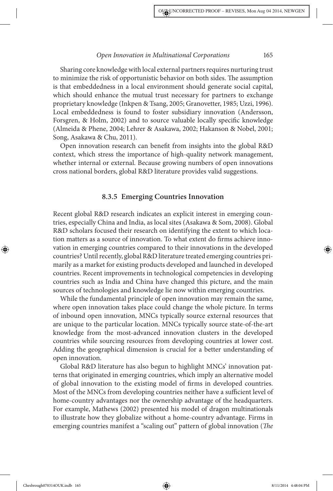Sharing core knowledge with local external partners requires nurturing trust to minimize the risk of opportunistic behavior on both sides. The assumption is that embeddedness in a local environment should generate social capital, which should enhance the mutual trust necessary for partners to exchange proprietary knowledge (Inkpen & Tsang, 2005; Granovetter, 1985; Uzzi, 1996). Local embeddedness is found to foster subsidiary innovation (Andersson, Forsgren,  $\&$  Holm, 2002) and to source valuable locally specific knowledge (Almeida & Phene, 2004; Lehrer & Asakawa, 2002; Hakanson & Nobel, 2001; Song, Asakawa & Chu, 2011).

Open innovation research can benefit from insights into the global R&D context, which stress the importance of high-quality network management, whether internal or external. Because growing numbers of open innovations cross national borders, global R&D literature provides valid suggestions.

#### **8.3.5 Emerging Countries Innovation**

Recent global R&D research indicates an explicit interest in emerging countries, especially China and India, as local sites (Asakawa & Som, 2008). Global R&D scholars focused their research on identifying the extent to which location matters as a source of innovation. To what extent do firms achieve innovation in emerging countries compared to their innovations in the developed countries? Until recently, global R&D literature treated emerging countries primarily as a market for existing products developed and launched in developed countries. Recent improvements in technological competencies in developing countries such as India and China have changed this picture, and the main sources of technologies and knowledge lie now within emerging countries.

While the fundamental principle of open innovation may remain the same, where open innovation takes place could change the whole picture. In terms of inbound open innovation, MNCs typically source external resources that are unique to the particular location. MNCs typically source state-of-the-art knowledge from the most-advanced innovation clusters in the developed countries while sourcing resources from developing countries at lower cost. Adding the geographical dimension is crucial for a better understanding of open innovation.

Global R&D literature has also begun to highlight MNCs' innovation patterns that originated in emerging countries, which imply an alternative model of global innovation to the existing model of firms in developed countries. Most of the MNCs from developing countries neither have a sufficient level of home-country advantages nor the ownership advantage of the headquarters. For example, Mathews (2002) presented his model of dragon multinationals to illustrate how they globalize without a home-country advantage. Firms in emerging countries manifest a "scaling out" pattern of global innovation (The

Chesbrough070314OUK.indb 165 8/11/2014 4:48:04 PM

◈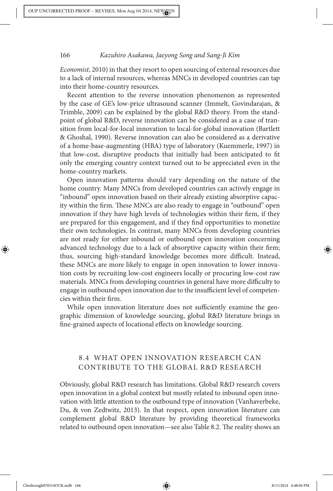Economist, 2010) in that they resort to open sourcing of external resources due to a lack of internal resources, whereas MNCs in developed countries can tap into their home-country resources.

Recent attention to the reverse innovation phenomenon as represented by the case of GE's low-price ultrasound scanner (Immelt, Govindarajan, & Trimble, 2009) can be explained by the global R&D theory. From the standpoint of global R&D, reverse innovation can be considered as a case of transition from local-for-local innovation to local-for-global innovation (Bartlett & Ghoshal, 1990). Reverse innovation can also be considered as a derivative of a home-base-augmenting (HBA) type of laboratory (Kuemmerle, 1997) in that low-cost, disruptive products that initially had been anticipated to fit only the emerging country context turned out to be appreciated even in the home-country markets.

Open innovation patterns should vary depending on the nature of the home country. Many MNCs from developed countries can actively engage in "inbound" open innovation based on their already existing absorptive capacity within the firm. These MNCs are also ready to engage in "outbound" open innovation if they have high levels of technologies within their firm, if they are prepared for this engagement, and if they find opportunities to monetize their own technologies. In contrast, many MNCs from developing countries are not ready for either inbound or outbound open innovation concerning advanced technology due to a lack of absorptive capacity within their firm; thus, sourcing high-standard knowledge becomes more difficult. Instead, these MNCs are more likely to engage in open innovation to lower innovation costs by recruiting low-cost engineers locally or procuring low-cost raw materials. MNCs from developing countries in general have more difficulty to engage in outbound open innovation due to the insufficient level of competencies within their firm.

While open innovation literature does not sufficiently examine the geographic dimension of knowledge sourcing, global R&D literature brings in fine-grained aspects of locational effects on knowledge sourcing.

## 8.4 WHAT OPEN INNOVATION RESEARCH CAN CONTRIBUTE TO THE GLOBAL R&D RESEARCH

Obviously, global R&D research has limitations. Global R&D research covers open innovation in a global context but mostly related to inbound open innovation with little attention to the outbound type of innovation (Vanhaverbeke, Du, & von Zedtwitz, 2013). In that respect, open innovation literature can complement global R&D literature by providing theoretical frameworks related to outbound open innovation—see also Table 8.2. The reality shows an

◈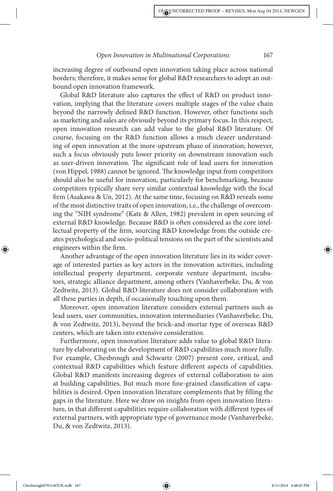increasing degree of outbound open innovation taking place across national borders; therefore, it makes sense for global R&D researchers to adopt an outbound open innovation framework.

Global R&D literature also captures the effect of R&D on product innovation, implying that the literature covers multiple stages of the value chain beyond the narrowly defined R&D function. However, other functions such as marketing and sales are obviously beyond its primary focus. In this respect, open innovation research can add value to the global R&D literature. Of course, focusing on the R&D function allows a much clearer understanding of open innovation at the more-upstream phase of innovation; however, such a focus obviously puts lower priority on downstream innovation such as user-driven innovation. The significant role of lead users for innovation (von Hippel, 1988) cannot be ignored. The knowledge input from competitors should also be useful for innovation, particularly for benchmarking, because competitors typically share very similar contextual knowledge with the focal firm (Asakawa & Un, 2012). At the same time, focusing on R&D reveals some of the most distinctive traits of open innovation, i.e., the challenge of overcoming the "NIH syndrome" (Katz & Allen, 1982) prevalent in open sourcing of external R&D knowledge. Because R&D is often considered as the core intellectual property of the firm, sourcing R&D knowledge from the outside creates psychological and socio-political tensions on the part of the scientists and engineers within the firm.

Another advantage of the open innovation literature lies in its wider coverage of interested parties as key actors in the innovation activities, including intellectual property department, corporate venture department, incubators, strategic alliance department, among others (Vanhaverbeke, Du, & von Zedtwitz, 2013). Global R&D literature does not consider collaboration with all these parties in depth, if occasionally touching upon them.

Moreover, open innovation literature considers external partners such as lead users, user communities, innovation intermediaries (Vanhaverbeke, Du, & von Zedtwitz, 2013), beyond the brick-and-mortar type of overseas R&D centers, which are taken into extensive consideration.

Furthermore, open innovation literature adds value to global R&D literature by elaborating on the development of R&D capabilities much more fully. For example, Chesbrough and Schwartz (2007) present core, critical, and contextual R&D capabilities which feature different aspects of capabilities. Global R&D manifests increasing degrees of external collaboration to aim at building capabilities. But much more fine-grained classification of capabilities is desired. Open innovation literature complements that by filling the gaps in the literature. Here we draw on insights from open innovation literature, in that different capabilities require collaboration with different types of external partners, with appropriate type of governance mode (Vanhaverbeke, Du, & von Zedtwitz, 2013).

Chesbrough070314OUK.indb 167 8/11/2014 4:48:05 PM 8/11/2014 4:48:05 PM

◈